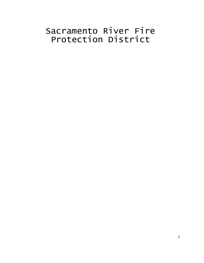# Sacramento River Fire Protection District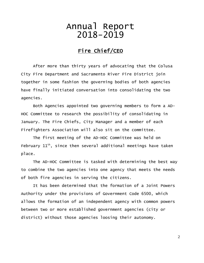# Annual Report 2018-2019

## Fire Chief/CEO

After more than thirty years of advocating that the Colusa City Fire Department and Sacramento River Fire District join together in some fashion the governing bodies of both agencies have finally initiated conversation into consolidating the two agencies.

Both Agencies appointed two governing members to form a AD-HOC Committee to research the possibility of consolidating in January. The Fire Chiefs, City Manager and a member of each Firefighters Association will also sit on the committee.

The first meeting of the AD-HOC Committee was held on February  $11<sup>th</sup>$ , since then several additional meetings have taken place.

The AD-HOC Committee is tasked with determining the best way to combine the two agencies into one agency that meets the needs of both fire agencies in serving the citizens.

It has been determined that the formation of a Joint Powers Authority under the provisions of Government Code 6500, which allows the formation of an independent agency with common powers between two or more established government agencies (city or district) without those agencies loosing their autonomy.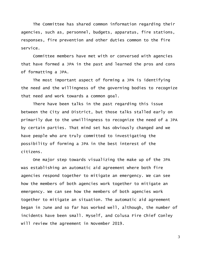The Committee has shared common information regarding their agencies, such as, personnel, budgets, apparatus, fire stations, responses, fire prevention and other duties common to the fire service.

Committee members have met with or conversed with agencies that have formed a JPA in the past and learned the pros and cons of formatting a JPA.

The most important aspect of forming a JPA is identifying the need and the willingness of the governing bodies to recognize that need and work towards a common goal.

There have been talks in the past regarding this issue between the City and District, but those talks stalled early on primarily due to the unwillingness to recognize the need of a JPA by certain parties. That mind set has obviously changed and we have people who are truly committed to investigating the possibility of forming a JPA in the best interest of the citizens.

One major step towards visualizing the make up of the JPA was establishing an automatic aid agreement where both fire agencies respond together to mitigate an emergency. We can see how the members of both agencies work together to mitigate an emergency. We can see how the members of both agencies work together to mitigate an situation. The automatic aid agreement began in June and so far has worked well, although, the number of incidents have been small. Myself, and Colusa Fire Chief Conley will review the agreement in November 2019.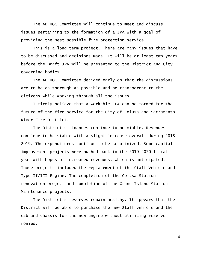The AD-HOC Committee will continue to meet and discuss issues pertaining to the formation of a JPA with a goal of providing the best possible fire protection service.

This is a long-term project. There are many issues that have to be discussed and decisions made. It will be at least two years before the Draft JPA will be presented to the District and City governing bodies.

The AD-HOC Committee decided early on that the discussions are to be as thorough as possible and be transparent to the citizens while working through all the issues.

I firmly believe that a workable JPA can be formed for the future of the fire service for the City of Colusa and Sacramento River Fire District.

The District's finances continue to be viable. Revenues continue to be stable with a slight increase overall during 2018- 2019. The expenditures continue to be scrutinized. Some capital improvement projects were pushed back to the 2019-2020 fiscal year with hopes of increased revenues, which is anticipated. Those projects included the replacement of the Staff Vehicle and Type II/III Engine. The completion of the Colusa Station renovation project and completion of the Grand Island Station Maintenance projects.

The District's reserves remain healthy. It appears that the District will be able to purchase the new Staff vehicle and the cab and chassis for the new engine without utilizing reserve monies.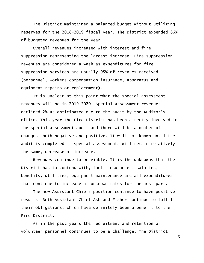The District maintained a balanced budget without utilizing reserves for the 2018-2019 fiscal year. The District expended 66% of budgeted revenues for the year.

Overall revenues increased with interest and fire suppression representing the largest increase. Fire suppression revenues are considered a wash as expenditures for fire suppression services are usually 95% of revenues received (personnel, workers compensation insurance, apparatus and equipment repairs or replacement).

It is unclear at this point what the special assessment revenues will be in 2019-2020. Special assessment revenues declined 2% as anticipated due to the audit by the Auditor's office. This year the Fire District has been directly involved in the special assessment audit and there will be a number of changes, both negative and positive. It will not known until the audit is completed if special assessments will remain relatively the same, decrease or increase.

Revenues continue to be viable. It is the unknowns that the District has to contend with, fuel, insurances, salaries, benefits, utilities, equipment maintenance are all expenditures that continue to increase at unknown rates for the most part.

The new Assistant Chiefs position continue to have positive results. Both Assistant Chief Ash and Fisher continue to fulfill their obligations, which have definitely been a benefit to the Fire District.

As in the past years the recruitment and retention of volunteer personnel continues to be a challenge. The District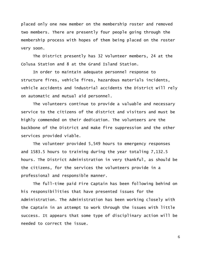placed only one new member on the membership roster and removed two members. There are presently four people going through the membership process with hopes of them being placed on the roster very soon.

The District presently has 32 Volunteer members, 24 at the Colusa Station and 8 at the Grand Island Station.

In order to maintain adequate personnel response to structure fires, vehicle fires, hazardous materials incidents, vehicle accidents and industrial accidents the District will rely on automatic and mutual aid personnel.

The volunteers continue to provide a valuable and necessary service to the citizens of the district and visitors and must be highly commended on their dedication. The volunteers are the backbone of the District and make fire suppression and the other services provided viable.

The volunteer provided 5,549 hours to emergency responses and 1583.5 hours to training during the year totaling 7,132.5 hours. The District Administration in very thankful, as should be the citizens, for the services the volunteers provide in a professional and responsible manner.

The full-time paid Fire Captain has been following behind on his responsibilities that have presented issues for the Administration. The Administration has been working closely with the Captain in an attempt to work through the issues with little success. It appears that some type of disciplinary action will be needed to correct the issue.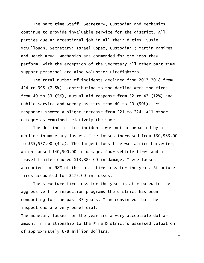The part-time Staff, Secretary, Custodian and Mechanics continue to provide invaluable service for the district. All parties due an acceptional job in all their duties. Susie McCullough, Secretary; Israel Lopez, Custodian ; Martin Ramirez and Heath Krug, Mechanics are commended for the jobs they perform. With the exception of the Secretary all other part time support personnel are also Volunteer Firefighters.

The total number of incidents declined from 2017-2018 from 424 to 395 (7.5%). Contributing to the decline were the fires from 40 to 33 (5%), mutual aid response from 52 to 47 (12%) and Public Service and Agency assists from 40 to 20 (50%). EMS responses showed a slight increase from 221 to 224. All other categories remained relatively the same.

The decline in fire incidents was not accompanied by a decline in monetary losses. Fire losses increased from \$30,983.00 to \$55,557.00 (44%). The largest loss fire was a rice harvester, which caused \$40,500.00 in damage. Four vehicle fires and a travel trailer caused \$13,882.00 in damage. These losses accounted for 98% of the total fire loss for the year. Structure fires accounted for \$175.00 in losses.

The structure fire loss for the year is attributed to the aggressive fire inspection programs the district has been conducting for the past 37 years. I am convinced that the inspections are very beneficial.

The monetary losses for the year are a very acceptable dollar amount in relationship to the Fire District's assessed valuation of approximately 678 million dollars.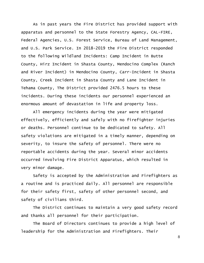As in past years the Fire District has provided support with apparatus and personnel to the State Forestry Agency, CAL-FIRE, Federal Agencies, U.S. Forest Service, Bureau of Land Management, and U.S. Park Service. In 2018-2019 the Fire District responded to the following Wildland Incidents: Camp Incident in Butte County, Hirz Incident in Shasta County, Mendocino Complex (Ranch and River Incident) in Mendocino County, Carr-Incident in Shasta County, Creek Incident in Shasta County and Lane Incident in Tehama County, The District provided 2476.5 hours to these incidents. During these incidents our personnel experienced an enormous amount of devastation in life and property loss.

All emergency incidents during the year were mitigated effectively, efficiently and safely with no firefighter injuries or deaths. Personnel continue to be dedicated to safety. All safety violations are mitigated in a timely manner, depending on severity, to insure the safety of personnel. There were no reportable accidents during the year. Several minor accidents occurred involving Fire District Apparatus, which resulted in very minor damage.

Safety is accepted by the Administration and Firefighters as a routine and is practiced daily. All personnel are responsible for their safety first, safety of other personnel second, and safety of civilians third.

The District continues to maintain a very good safety record and thanks all personnel for their participation.

The Board of Directors continues to provide a high level of leadership for the Administration and Firefighters. Their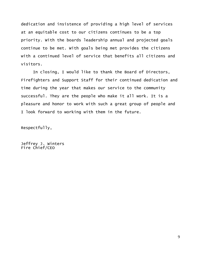dedication and insistence of providing a high level of services at an equitable cost to our citizens continues to be a top priority. With the boards leadership annual and projected goals continue to be met. With goals being met provides the citizens with a continued level of service that benefits all citizens and visitors.

In closing, I would like to thank the Board of Directors, Firefighters and Support Staff for their continued dedication and time during the year that makes our service to the community successful. They are the people who make it all work. It is a pleasure and honor to work with such a great group of people and I look forward to working with them in the future.

Respectfully,

Jeffrey J. Winters Fire Chief/CEO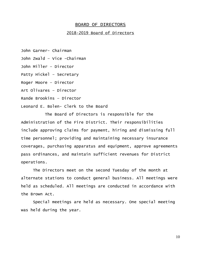#### BOARD OF DIRECTORS

#### 2018-2019 Board of Directors

John Garner- Chairman

John Zwald – Vice -Chairman

John Miller – Director

Patty Hickel – Secretary

Roger Moore – Director

Art Olivares – Director

Rande Brookins – Director

Leonard E. Bolen- Clerk to the Board

The Board of Directors is responsible for the Administration of the Fire District. Their responsibilities include approving claims for payment, hiring and dismissing full time personnel; providing and maintaining necessary insurance coverages, purchasing apparatus and equipment, approve agreements pass ordinances, and maintain sufficient revenues for District operations.

The Directors meet on the second Tuesday of the month at alternate stations to conduct general business. All meetings were held as scheduled. All meetings are conducted in accordance with the Brown Act.

Special meetings are held as necessary. One special meeting was held during the year.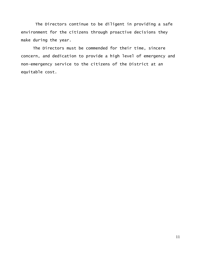The Directors continue to be diligent in providing a safe environment for the citizens through proactive decisions they make during the year.

The Directors must be commended for their time, sincere concern, and dedication to provide a high level of emergency and non-emergency service to the citizens of the District at an equitable cost.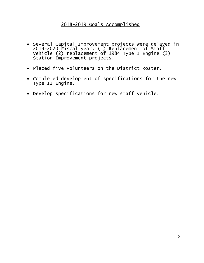### 2018-2019 Goals Accomplished

- Several Capital Improvement projects were delayed in 2019-2020 Fiscal year. (1) Replacement of Staff vehicle (2) replacement of 1984 Type I Engine (3) Station Improvement projects.
- Placed five Volunteers on the District Roster.
- Completed development of specifications for the new Type II Engine.
- Develop specifications for new staff vehicle.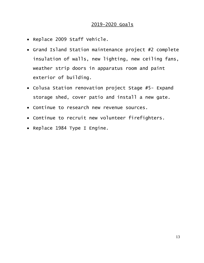### 2019-2020 Goals

- Replace 2009 Staff Vehicle.
- Grand Island Station maintenance project #2 complete insulation of walls, new lighting, new ceiling fans, weather strip doors in apparatus room and paint exterior of building.
- Colusa Station renovation project Stage #5- Expand storage shed, cover patio and install a new gate.
- Continue to research new revenue sources.
- Continue to recruit new volunteer firefighters.
- Replace 1984 Type I Engine.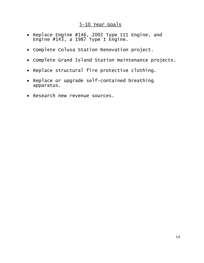### 5-10 Year Goals

- Replace Engine #146, 2002 Type III Engine, and Engine #143, a 1987 Type I Engine.
- Complete Colusa Station Renovation project.
- Complete Grand Island Station maintenance projects.
- Replace structural fire protective clothing.
- Replace or upgrade self-contained breathing apparatus.
- Research new revenue sources.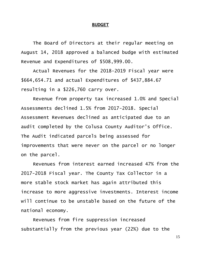#### **BUDGET**

The Board of Directors at their regular meeting on August 14, 2018 approved a balanced budge with estimated Revenue and Expenditures of \$508,999.00.

Actual Revenues for the 2018-2019 Fiscal year were \$664,654.71 and actual Expenditures of \$437,884.67 resulting in a \$226,760 carry over.

Revenue from property tax increased 1.0% and Special Assessments declined 1.5% from 2017-2018. Special Assessment Revenues declined as anticipated due to an audit completed by the Colusa County Auditor's Office. The Audit indicated parcels being assessed for improvements that were never on the parcel or no longer on the parcel.

Revenues from interest earned increased 47% from the 2017-2018 Fiscal year. The County Tax Collector in a more stable stock market has again attributed this increase to more aggressive investments. Interest income will continue to be unstable based on the future of the national economy.

Revenues from fire suppression increased substantially from the previous year (22%) due to the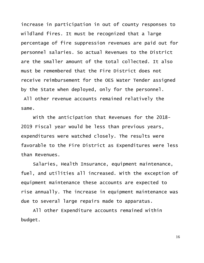increase in participation in out of county responses to wildland fires. It must be recognized that a large percentage of fire suppression revenues are paid out for personnel salaries. So actual Revenues to the District are the smaller amount of the total collected. It also must be remembered that the Fire District does not receive reimbursement for the OES Water Tender assigned by the State when deployed, only for the personnel. All other revenue accounts remained relatively the

same.

With the anticipation that Revenues for the 2018- 2019 Fiscal year would be less than previous years, expenditures were watched closely. The results were favorable to the Fire District as Expenditures were less than Revenues.

Salaries, Health Insurance, equipment maintenance, fuel, and utilities all increased. With the exception of equipment maintenance these accounts are expected to rise annually. The increase in equipment maintenance was due to several large repairs made to apparatus.

All other Expenditure accounts remained within budget.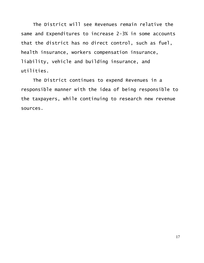The District will see Revenues remain relative the same and Expenditures to increase 2-3% in some accounts that the district has no direct control, such as fuel, health insurance, workers compensation insurance, liability, vehicle and building insurance, and utilities.

The District continues to expend Revenues in a responsible manner with the idea of being responsible to the taxpayers, while continuing to research new revenue sources.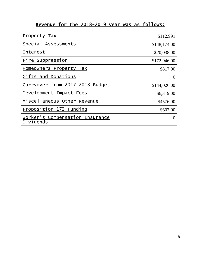## Revenue for the 2018-2019 year was as follows:

| Property Tax                                 | \$112,991    |
|----------------------------------------------|--------------|
| Special Assessments                          | \$148,174.00 |
| <b>Interest</b>                              | \$20,038.00  |
| Fire Suppression                             | \$172,946.00 |
| Homeowners Property Tax                      | \$817.00     |
| Gifts and Donations                          | $\theta$     |
| Carryover from 2017-2018 Budget              | \$144,026.00 |
| Development Impact Fees                      | \$6,319.00   |
| Miscellaneous Other Revenue                  | \$4576.00    |
| Proposition 172 Funding                      | \$607.00     |
| Worker's Compensation Insurance<br>Dividends |              |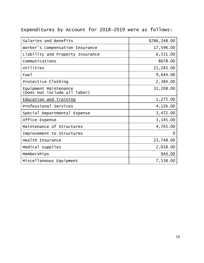## Expenditures by Account for 2018-2019 were as follows:

| Salaries and Benefits                                 | \$286,248.00 |
|-------------------------------------------------------|--------------|
| Worker's Compensation Insurance                       | 17,596.00    |
| Liability and Property Insurance                      | 6,531.00     |
| Communications                                        | 8678.00      |
| Utilities                                             | 21,283.00    |
| Fue <sub>1</sub>                                      | 9,644.00     |
| Protective Clothing                                   | 2,384.00     |
| Equipment Maintenance<br>(Does not include all labor) | 31,208.00    |
| <b>Education and Training</b>                         | 1,275.00     |
| Professional Services                                 | 4,126.00     |
| Special Departmental Expense                          | 3,472.00     |
| Office Expense                                        | 3,145.00     |
| Maintenance of Structures                             | 4,765.00     |
| Improvement to Structures                             | 0            |
| Health Insurance                                      | 23,748.00    |
| Medical supplies                                      | 2,018.00     |
| Memberships                                           | 944.00       |
| Miscellaneous Equipment                               | 7,538.00     |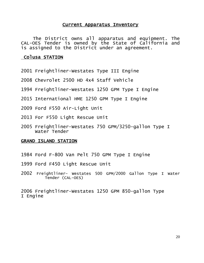#### Current Apparatus Inventory

The District owns all apparatus and equipment. The CAL-OES Tender is owned by the State of California and is assigned to the District under an agreement.

#### Colusa STATION

- 2001 Freightliner-Westates Type III Engine
- 2008 Chevrolet 2500 HD 4x4 Staff Vehicle
- 1994 Freightliner-Westates 1250 GPM Type I Engine
- 2015 International HME 1250 GPM Type I Engine
- 2009 Ford F550 Air-Light Unit
- 2013 For F550 Light Rescue Unit
- 2005 Freightliner-Westates 750 GPM/3250-gallon Type I Water Tender

#### GRAND ISLAND STATION

- 1984 Ford F-800 Van Pelt 750 GPM Type I Engine
- 1999 Ford F450 Light Rescue Unit
- 2002 Freightliner- Westates 500 GPM/2000 Gallon Type I Water Tender (CAL-OES)

2006 Freightliner-Westates 1250 GPM 850-gallon Type I Engine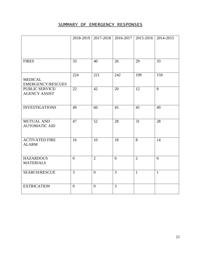### SUMMARY OF EMERGENCY RESPONSES

|                                            |                |                | 2018-2019   2017-2018   2016-2017   2015-2016   2014-2015 |                |                |
|--------------------------------------------|----------------|----------------|-----------------------------------------------------------|----------------|----------------|
| <b>FIRES</b>                               | 33             | 40             | 26                                                        | 29             | 33             |
| <b>MEDICAL</b><br><b>EMERGENCY/RESCUES</b> | 224            | 221            | 242                                                       | 199            | 159            |
| PUBLIC SERVICE/<br><b>AGENCY ASSIST</b>    | 22             | 42             | 20                                                        | 12             | 8              |
| <b>INVESTIGATIONS</b>                      | 49             | 60             | 45                                                        | 45             | 49             |
| <b>MUTUAL AND</b><br><b>AUTOMATIC AID</b>  | 47             | 52             | 28                                                        | 31             | 28             |
| <b>ACTIVATED FIRE</b><br><b>ALARM</b>      | 16             | 10             | 18                                                        | 8              | 14             |
| <b>HAZARDOUS</b><br><b>MATERIALS</b>       | $\theta$       | $\overline{2}$ | $\overline{0}$                                            | $\overline{2}$ | $\overline{0}$ |
| <b>SEARCH/RESCUE</b>                       | $\overline{3}$ | $\overline{0}$ | $\overline{3}$                                            | $\mathbf{1}$   | $\mathbf{1}$   |
| <b>EXTRICATION</b>                         | $\overline{0}$ | $\overline{0}$ | $\overline{3}$                                            |                |                |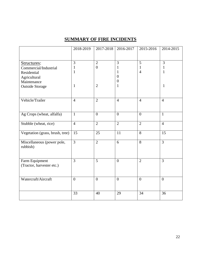## **SUMMARY OF FIRE INCIDENTS**

|                                             | 2018-2019      | 2017-2018        | 2016-2017      | 2015-2016      | 2014-2015      |
|---------------------------------------------|----------------|------------------|----------------|----------------|----------------|
|                                             |                |                  |                |                |                |
| Structures:                                 | 3              | $\overline{2}$   | 3              | 5              | $\overline{3}$ |
| Commercial/Industrial                       | 1              | $\boldsymbol{0}$ | 1              | 1              | $\mathbf{1}$   |
| Residential                                 | $\mathbf{1}$   |                  | $\mathbf{1}$   | $\overline{4}$ | $\mathbf{1}$   |
| Agricultural                                |                |                  | $\overline{0}$ |                |                |
| Maintenance                                 |                |                  | $\theta$       |                |                |
| <b>Outside Storage</b>                      | $\mathbf{1}$   | $\overline{2}$   | 1              |                | $\mathbf{1}$   |
|                                             |                |                  |                |                |                |
| Vehicle/Trailer                             | $\overline{4}$ | $\overline{2}$   | $\overline{4}$ | $\overline{4}$ | $\overline{4}$ |
| Ag Crops (wheat, alfalfa)                   | $\mathbf{1}$   | $\overline{0}$   | $\overline{0}$ | $\overline{0}$ | $\mathbf{1}$   |
| Stubble (wheat, rice)                       | $\overline{4}$ | $\overline{2}$   | $\overline{2}$ | $\overline{2}$ | $\overline{4}$ |
| Vegetation (grass, brush, tree)             | 15             | 25               | 11             | 8              | 15             |
| Miscellaneous (power pole,<br>rubbish)      | $\overline{3}$ | $\overline{2}$   | 6              | 8              | $\overline{3}$ |
| Farm Equipment<br>(Tractor, harvester etc.) | $\overline{3}$ | 5                | $\overline{0}$ | $\overline{2}$ | $\overline{3}$ |
|                                             |                |                  |                |                |                |
| Watercraft/Aircraft                         | $\overline{0}$ | $\overline{0}$   | $\overline{0}$ | $\overline{0}$ | $\overline{0}$ |
|                                             | 33             | 40               | 29             | 34             | 36             |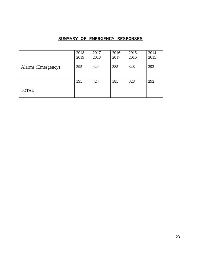### SUMMARY OF EMERGENCY RESPONSES

|                    | 2018 | 2017 | 2016 | 2015 | 2014 |
|--------------------|------|------|------|------|------|
|                    | 2019 | 2018 | 2017 | 2016 | 2015 |
|                    |      |      |      |      |      |
| Alarms (Emergency) | 395  | 424  | 385  | 328  | 292  |
|                    |      |      |      |      |      |
|                    |      |      |      |      |      |
|                    | 395  | 424  | 385  | 328  | 292  |
|                    |      |      |      |      |      |
| <b>TOTAL</b>       |      |      |      |      |      |
|                    |      |      |      |      |      |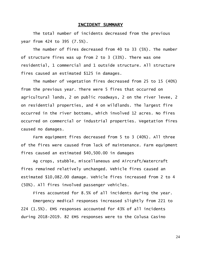#### INCIDENT SUMMARY

The total number of incidents decreased from the previous year from 424 to 395 (7.5%).

The number of fires decreased from 40 to 33 (5%). The number of structure fires was up from 2 to 3 (33%). There was one residential, 1 commercial and 1 outside structure. All structure fires caused an estimated \$125 in damages.

The number of vegetation fires decreased from 25 to 15 (40%) from the previous year. There were 5 fires that occurred on agricultural lands, 2 on public roadways, 2 on the river levee, 2 on residential properties, and 4 on wildlands. The largest fire occurred in the river bottoms, which involved 12 acres. No fires occurred on commercial or industrial properties. Vegetation fires caused no damages.

Farm equipment fires decreased from 5 to 3 (40%). All three of the fires were caused from lack of maintenance. Farm equipment fires caused an estimated \$40,500.00 in damages

Ag crops, stubble, miscellaneous and Aircraft/Watercraft fires remained relatively unchanged. Vehicle fires caused an estimated \$10,082.00 damage. Vehicle fires increased from 2 to 4 (50%). All fires involved passenger vehicles.

Fires accounted for 8.5% of all incidents during the year.

Emergency medical responses increased slightly from 221 to 224 (1.5%). EMS responses accounted for 43% of all incidents during 2018-2019. 82 EMS responses were to the Colusa Casino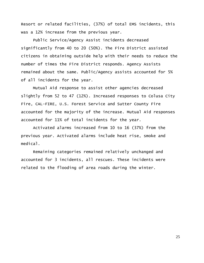Resort or related facilities, (37%) of total EMS incidents, this was a 12% increase from the previous year.

Public Service/Agency Assist incidents decreased significantly from 40 to 20 (50%). The Fire District assisted citizens in obtaining outside help with their needs to reduce the number of times the Fire District responds. Agency Assists remained about the same. Public/Agency assists accounted for 5% of all incidents for the year.

Mutual Aid response to assist other agencies decreased slightly from 52 to 47 (12%). Increased responses to Colusa City Fire, CAL-FIRE, U.S. Forest Service and Sutter County Fire accounted for the majority of the increase. Mutual Aid responses accounted for 11% of total incidents for the year.

Activated alarms increased from 10 to 16 (37%) from the previous year. Activated alarms include heat rise, smoke and medical.

Remaining categories remained relatively unchanged and accounted for 3 incidents, all rescues. These incidents were related to the flooding of area roads during the winter.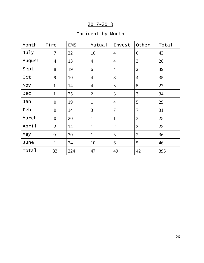## 2017-2018

## Incident by Month

| Month      | Fire             | <b>EMS</b> | Mutual         | Invest         | Other          | Total |
|------------|------------------|------------|----------------|----------------|----------------|-------|
| July       | $\tau$           | 22         | 10             | $\overline{4}$ | $\overline{0}$ | 43    |
| August     | $\overline{4}$   | 13         | $\overline{4}$ | $\overline{4}$ | 3              | 28    |
| Sept       | 8                | 19         | 6              | $\overline{4}$ | $\overline{2}$ | 39    |
| Oct        | 9                | 10         | $\overline{4}$ | 8              | $\overline{4}$ | 35    |
| <b>NOV</b> | $\mathbf{1}$     | 14         | $\overline{4}$ | 3              | 5              | 27    |
| Dec        | $\mathbf{1}$     | 25         | $\overline{2}$ | 3              | 3              | 34    |
| Jan        | $\overline{0}$   | 19         | $\mathbf{1}$   | $\overline{4}$ | 5              | 29    |
| Feb        | $\overline{0}$   | 14         | 3              | $\overline{7}$ | $\overline{7}$ | 31    |
| March      | $\boldsymbol{0}$ | 20         | $\mathbf{1}$   | $\mathbf{1}$   | 3              | 25    |
| April      | $\overline{2}$   | 14         | $\mathbf{1}$   | $\overline{2}$ | 3              | 22    |
| May        | $\overline{0}$   | 30         | $\mathbf{1}$   | 3              | $\overline{2}$ | 36    |
| June       | $\mathbf{1}$     | 24         | 10             | 6              | 5              | 46    |
| Total      | 33               | 224        | 47             | 49             | 42             | 395   |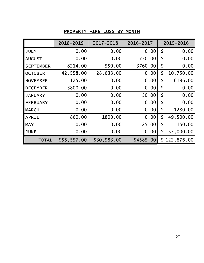## PROPERTY FIRE LOSS BY MONTH

|                  | 2018-2019   | 2017-2018   | 2016-2017 | 2015-2016       |
|------------------|-------------|-------------|-----------|-----------------|
| <b>JULY</b>      | 0.00        | 0.00        | 0.00      | \$<br>0.00      |
| <b>AUGUST</b>    | 0.00        | 0.00        | 750.00    | \$<br>0.00      |
| <b>SEPTEMBER</b> | 8214.00     | 550.00      | 3760.00   | \$<br>0.00      |
| <b>OCTOBER</b>   | 42,558.00   | 28,633.00   | 0.00      | \$<br>10,750.00 |
| <b>NOVEMBER</b>  | 125.00      | 0.00        | 0.00      | \$<br>6196.00   |
| <b>DECEMBER</b>  | 3800.00     | 0.00        | 0.00      | \$<br>0.00      |
| <b>JANUARY</b>   | 0.00        | 0.00        | 50.00     | \$<br>0.00      |
| <b>FEBRUARY</b>  | 0.00        | 0.00        | 0.00      | \$<br>0.00      |
| <b>MARCH</b>     | 0.00        | 0.00        | 0.00      | \$<br>1280.00   |
| <b>APRIL</b>     | 860.00      | 1800.00     | 0.00      | \$<br>49,500.00 |
| <b>MAY</b>       | 0.00        | 0.00        | 25.00     | \$<br>150.00    |
| <b>JUNE</b>      | 0.00        | 0.00        | 0.00      | \$<br>55,000.00 |
| <b>TOTAL</b>     | \$55,557.00 | \$30,983.00 | \$4585.00 | \$122,876.00    |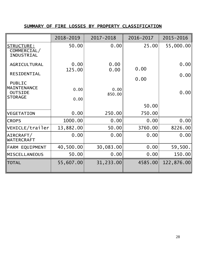### SUMMARY OF FIRE LOSSES BY PROPERTY CLASSIFICATION

|                                                        | 2018-2019    | 2017-2018      | 2016-2017 | 2015-2016  |
|--------------------------------------------------------|--------------|----------------|-----------|------------|
| STRUCTURE:<br>COMMERCIAL/<br><b>INDUSTRIAL</b>         | 50.00        | 0.00           | 25.00     | 55,000.00  |
| AGRICULTURAL                                           | 0.00         | 0.00           | 0.00      | 0.00       |
| <b>RESIDENTIAL</b><br><b>PUBLIC</b>                    | 125.00       | 0.00           | 0.00      | 0.00       |
| <b>MAINTENANCE</b><br><b>OUTSIDE</b><br><b>STORAGE</b> | 0.00<br>0.00 | 0.00<br>850.00 |           | 0.00       |
|                                                        |              |                | 50.00     |            |
| <b>VEGETATION</b>                                      | 0.00         | 250.00         | 750.00    |            |
| <b>CROPS</b>                                           | 1000.00      | 0.00           | 0.00      | 0.00       |
| VEHICLE/trailer                                        | 13,882.00    | 50.00          | 3760.00   | 8226.00    |
| $\vert$ AIRCRAFT $/$<br><b>WATERCRAFT</b>              | 0.00         | 0.00           | 0.00      | 0.00       |
| FARM EQUIPMENT                                         | 40,500.00    | 30,083.00      | 0.00      | 59,500.    |
| <b>MISCELLANEOUS</b>                                   | 50.00        | 0.00           | 0.00      | 150.00     |
| <b>TOTAL</b>                                           | 55,607.00    | 31,233.00      | 4585.00   | 122,876.00 |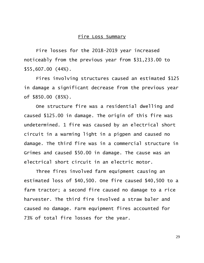#### Fire Loss Summary

Fire losses for the 2018-2019 year increased noticeably from the previous year from \$31,233.00 to \$55,607.00 (44%).

Fires involving structures caused an estimated \$125 in damage a significant decrease from the previous year of \$850.00 (85%).

One structure fire was a residential dwelling and caused \$125.00 in damage. The origin of this fire was undetermined. 1 fire was caused by an electrical short circuit in a warming light in a pigpen and caused no damage. The third fire was in a commercial structure in Grimes and caused \$50.00 in damage. The cause was an electrical short circuit in an electric motor.

Three fires involved farm equipment causing an estimated loss of \$40,500. One fire caused \$40,500 to a farm tractor; a second fire caused no damage to a rice harvester. The third fire involved a straw baler and caused no damage. Farm equipment fires accounted for 73% of total fire losses for the year.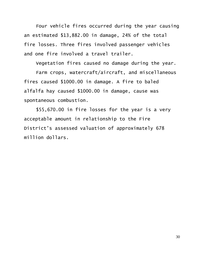Four vehicle fires occurred during the year causing an estimated \$13,882.00 in damage, 24% of the total fire losses. Three fires involved passenger vehicles and one fire involved a travel trailer.

Vegetation fires caused no damage during the year.

Farm crops, watercraft/aircraft, and miscellaneous fires caused \$1000.00 in damage. A fire to baled alfalfa hay caused \$1000.00 in damage, cause was spontaneous combustion.

\$55,670.00 in fire losses for the year is a very acceptable amount in relationship to the Fire District's assessed valuation of approximately 678 million dollars.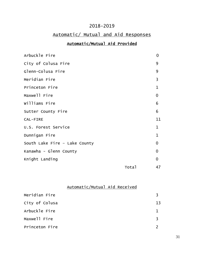### 2018-2019

## Automatic/ Mutual and Aid Responses

### Automatic/Mutual Aid Provided

| Arbuckle Fire                 |       | $\overline{0}$ |
|-------------------------------|-------|----------------|
| City of Colusa Fire           |       | 9              |
| Glenn-Colusa Fire             |       | 9              |
| Meridian Fire                 |       | 3              |
| Princeton Fire                |       | $\mathbf 1$    |
| Maxwell Fire                  |       | 0              |
| Williams Fire                 |       | 6              |
| Sutter County Fire            |       | 6              |
| CAL-FIRE                      |       | 11             |
| U.S. Forest Service           |       | $\mathbf 1$    |
| Dunnigan Fire                 |       | $\mathbf{1}$   |
| South Lake Fire - Lake County |       | $\overline{0}$ |
| Kanawha - Glenn County        |       | $\Omega$       |
| Knight Landing                |       | $\overline{0}$ |
|                               | Total | 47             |

Automatic/Mutual Aid Received

| Meridian Fire  |    |
|----------------|----|
| City of Colusa | 13 |
| Arbuckle Fire  |    |
| Maxwell Fire   | २  |
| Princeton Fire |    |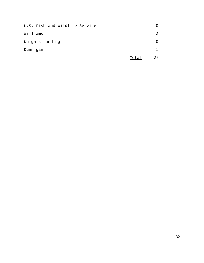| U.S. Fish and Wildlife Service |       |               |
|--------------------------------|-------|---------------|
| Williams                       |       | $\mathcal{L}$ |
| Knights Landing                |       | 0             |
| Dunnigan                       |       |               |
|                                | Total | 25            |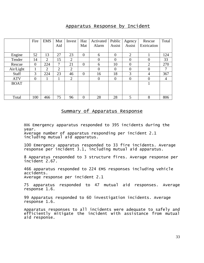#### Apparatus Response by Incident

|             | Fire           | <b>EMS</b> | Mut | Invest         | Haz            | Activated        | Public         | Agency           | Rescue         | Total |
|-------------|----------------|------------|-----|----------------|----------------|------------------|----------------|------------------|----------------|-------|
|             |                |            | Aid |                | Mat            | Alarm            | Assist         | Assist           | Extrication    |       |
|             |                |            |     |                |                |                  |                |                  |                |       |
| Engine      | 52             | 13         | 27  | 23             | $\overline{0}$ | 6                | $\overline{0}$ | $\overline{2}$   |                | 124   |
| Tender      | 14             | 2          | 15  | 2              |                | $\overline{0}$   | $\theta$       | 0                | $\Omega$       | 33    |
| Rescue      | 0              | 224        | 7   | 21             | $\overline{0}$ | 6                | 10             | 0                | $\overline{2}$ | 270   |
| Air/Light   |                | 2          | 2   | $\overline{2}$ |                | $\overline{0}$   | $\theta$       | $\overline{0}$   | $\theta$       | 7     |
| Staff       | 3              | 224        | 23  | 46             | $\overline{0}$ | 16               | 18             | 3                | $\overline{4}$ | 367   |
| <b>ATV</b>  | $\overline{0}$ |            |     | 2              |                | $\boldsymbol{0}$ | $\theta$       | $\boldsymbol{0}$ | $\theta$       | 4     |
| <b>BOAT</b> |                |            |     |                |                |                  |                |                  |                |       |
|             |                |            |     |                |                |                  |                |                  |                |       |
|             |                |            |     |                |                |                  |                |                  |                |       |
| Total       | 100            | 466        | 75  | 96             | $\overline{0}$ | 28               | 28             | 5                | 8              | 806   |

#### Summary of Apparatus Response

806 Emergency apparatus responded to 395 incidents during the year.

Average number of apparatus responding per incident 2.1 including mutual aid apparatus.

100 Emergency apparatus responded to 33 fire incidents. Average response per incident 3.1, including mutual aid apparatus.

8 Apparatus responded to 3 structure fires. Average response per incident 2.67.

466 apparatus responded to 224 EMS responses including vehicle accidents. Average response per incident 2.1

75 apparatus responded to 47 mutual aid responses. Average response 1.6.

99 Apparatus responded to 60 investigation incidents. Average response 1.6.

Apparatus responses to all incidents were adequate to safely and efficiently mitigate the incident with assistance from mutual aid response.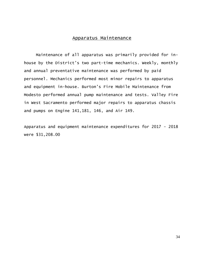#### Apparatus Maintenance

Maintenance of all apparatus was primarily provided for inhouse by the District's two part-time mechanics. Weekly, monthly and annual preventative maintenance was performed by paid personnel. Mechanics performed most minor repairs to apparatus and equipment in-house. Burton's Fire Mobile Maintenance from Modesto performed annual pump maintenance and tests. Valley Fire in West Sacramento performed major repairs to apparatus chassis and pumps on Engine 141,181, 146, and Air 149.

Apparatus and equipment maintenance expenditures for 2017 - 2018 were \$31,208.00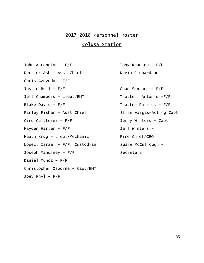### 2017-2018 Personnel Roster

### Colusa Station

John Ascencion -  $F/F$  Toby Reading -  $F/F$ Derrick Ash – Asst Chief Kevin Richardson Chris Azevedo – F/F Justin Bell –  $F/F$  Chon Santana –  $F/F$ Jeff Chambers - Lieut/EMT Trotter, Antonio -F/F Blake Davis –  $F/F$  Trotter Patrick –  $F/F$ Parley Fisher - Asst Chief Effie Vargas-Acting Capt Ciro Guitterez – F/F Jerry Winters - Capt Hayden Harter –  $F/F$  Jeff Winters – Heath Krug - Lieut/Mechanic Fire Chief/CEO Lopez, Israel –  $F/F$ , Custodian Susie McCullough – Joseph Mahorney – F/F Secretary Daniel Munoz – F/F Christopher Osborne – Capt/EMT Joey Phyl  $- F/F$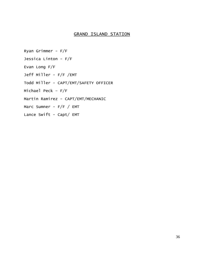#### GRAND ISLAND STATION

Ryan Grimmer - F/F Jessica Linton - F/F Evan Long F/F Jeff Miller - F/F /EMT Todd Miller - CAPT/EMT/SAFETY OFFICER Michael Peck – F/F Martin Ramirez - CAPT/EMT/MECHANIC Marc Sumner - F/F / EMT Lance Swift - Capt/ EMT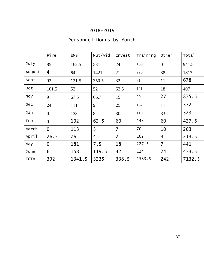## 2018-2019

## Personnel Hours by Month

|              | Fire             | <b>EMS</b> | Mut/Aid        | Invest         | Training | Other          | Total  |
|--------------|------------------|------------|----------------|----------------|----------|----------------|--------|
| July         | 85               | 162.5      | 531            | 24             | 139      | $\overline{0}$ | 941.5  |
| August       | 4                | 64         | 1421           | 21             | 225      | 38             | 1817   |
| Sept         | 92               | 121.5      | 350.5          | 32             | 71       | 11             | 678    |
| 0ct          | 101.5            | 52         | 52             | 62.5           | 121      | 18             | 407    |
| <b>NOV</b>   | 9                | 67.5       | 66.7           | 15             | 90       | 27             | 875.5  |
| Dec          | 24               | 111        | 9              | 25             | 152      | 11             | 332    |
| Jan          | $\theta$         | 133        | 8              | 30             | 119      | 33             | 323    |
| Feb          | $\overline{0}$   | 102        | 62.5           | 60             | 143      | 60             | 427.5  |
| March        | $\overline{0}$   | 113        | 3              | $\overline{7}$ | 70       | 10             | 203    |
| April        | 26.5             | 76         | $\overline{4}$ | $\overline{2}$ | 102      | $\overline{3}$ | 213.5  |
| May          | $\boldsymbol{0}$ | 181        | 7.5            | 18             | 227.5    | $\overline{7}$ | 441    |
| <b>June</b>  | 6                | 158        | 119.5          | 42             | 124      | 24             | 473.5  |
| <b>TOTAL</b> | 392              | 1341.5     | 3235           | 338.5          | 1583.5   | 242            | 7132.5 |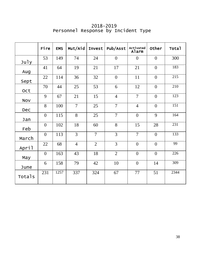|            | Fire           | <b>EMS</b> | Mut/Aid        | Invest         | Pub/Asst       | Activated<br>Alarm | Other          | Total |
|------------|----------------|------------|----------------|----------------|----------------|--------------------|----------------|-------|
| July       | 53             | 149        | 74             | 24             | $\overline{0}$ | $\overline{0}$     | $\overline{0}$ | 300   |
| Aug        | 41             | 64         | 19             | 21             | 17             | 21                 | $\overline{0}$ | 183   |
| Sept       | 22             | 114        | 36             | 32             | $\overline{0}$ | 11                 | $\overline{0}$ | 215   |
| Oct        | 70             | 44         | 25             | 53             | 6              | 12                 | $\overline{0}$ | 210   |
| <b>NOV</b> | 9              | 67         | 21             | 15             | $\overline{4}$ | $\overline{7}$     | $\overline{0}$ | 123   |
| Dec        | 8              | 100        | $\overline{7}$ | 25             | $\overline{7}$ | $\overline{4}$     | $\overline{0}$ | 151   |
| Jan        | $\overline{0}$ | 115        | 8              | 25             | $\overline{7}$ | $\overline{0}$     | 9              | 164   |
| Feb        | $\overline{0}$ | 102        | 18             | 60             | 8              | 15                 | 28             | 231   |
| March      | $\overline{0}$ | 113        | $\overline{3}$ | $\overline{7}$ | $\overline{3}$ | $\overline{7}$     | $\overline{0}$ | 133   |
| April      | 22             | 68         | $\overline{4}$ | $\overline{2}$ | $\overline{3}$ | $\overline{0}$     | $\overline{0}$ | 99    |
| May        | $\overline{0}$ | 163        | 43             | 18             | $\overline{2}$ | $\overline{0}$     | $\theta$       | 226   |
| June       | 6              | 158        | 79             | 42             | 10             | $\overline{0}$     | 14             | 309   |
| Totals     | 231            | 1257       | 337            | 324            | 67             | 77                 | 51             | 2344  |

 2018-2019 Personnel Response by Incident Type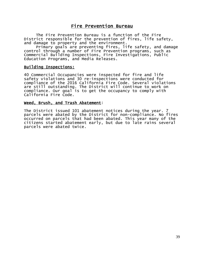### Fire Prevention Bureau

The Fire Prevention Bureau is a function of the Fire District responsible for the prevention of fires, life safety, and damage to property and the environment.

Primary goals are preventing fires, life safety, and damage control through a number of Fire Prevention programs, such as Commercial Building Inspections, Fire Investigations, Public Education Programs, and Media Releases.

#### Building Inspections:

40 Commercial Occupancies were inspected for fire and life safety violations and 30 re-inspections were conducted for compliance of the 2016 California Fire Code. Several violations are still outstanding. The District will continue to work on compliance. Our goal is to get the occupancy to comply with California Fire Code.

#### Weed, Brush, and Trash Abatement:

The District issued 101 abatement notices during the year. 7 parcels were abated by the District for non-compliance. No fires occurred on parcels that had been abated. This year many of the citizens started abatement early, but due to late rains several parcels were abated twice.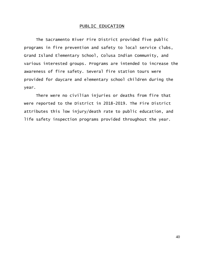#### PUBLIC EDUCATION

The Sacramento River Fire District provided five public programs in fire prevention and safety to local service clubs, Grand Island Elementary School, Colusa Indian Community, and various interested groups. Programs are intended to increase the awareness of fire safety. Several fire station tours were provided for daycare and elementary school children during the year.

There were no civilian injuries or deaths from fire that were reported to the District in 2018-2019. The Fire District attributes this low injury/death rate to public education, and life safety inspection programs provided throughout the year.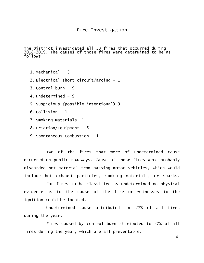The District investigated all 33 fires that occurred during 2018-2019. The causes of those fires were determined to be as follows:

- 1. Mechanical 3
- 2. Electrical short circuit/arcing 1
- 3. Control burn 9
- 4. undetermined 9
- 5. Suspicious (possible intentional) 3
- 6. Collision 1
- 7. Smoking materials –1
- 8. Friction/Equipment 5
- 9. Spontaneous Combustion 1

Two of the fires that were of undetermined cause occurred on public roadways. Cause of those fires were probably discarded hot material from passing motor vehicles, which would include hot exhaust particles, smoking materials, or sparks.

For fires to be classified as undetermined no physical evidence as to the cause of the fire or witnesses to the ignition could be located.

Undetermined cause attributed for 27% of all fires during the year.

Fires caused by control burn attributed to 27% of all fires during the year, which are all preventable.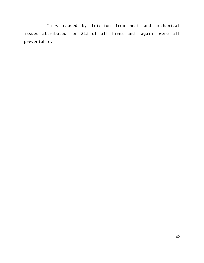Fires caused by friction from heat and mechanical issues attributed for 21% of all fires and, again, were all preventable.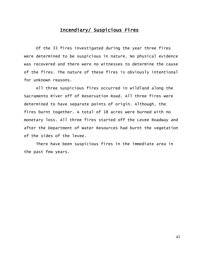### Incendiary/ Suspicious Fires

T.

Of the 33 fires investigated during the year three fires were determined to be suspicious in nature. No physical evidence was recovered and there were no witnesses to determine the cause of the fires. The nature of these fires is obviously intentional for unknown reasons.

All three suspicious fires occurred in wildland along the Sacramento River off of Reservation Road. All three fires were determined to have separate points of origin. Although, the fires burnt together. A total of 18 acres were burned with no monetary loss. All three fires started off the Levee Roadway and after the Department of Water Resources had burnt the vegetation of the sides of the levee.

There have been suspicious fires in the immediate area in the past few years.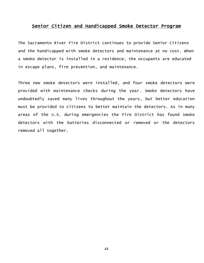#### Senior Citizen and Handicapped Smoke Detector Program T,

The Sacramento River Fire District continues to provide Senior Citizens and the handicapped with smoke detectors and maintenance at no cost. When a smoke detector is installed in a residence, the occupants are educated in escape plans, fire prevention, and maintenance.

Three new smoke detectors were installed, and four smoke detectors were provided with maintenance checks during the year. Smoke detectors have undoubtedly saved many lives throughout the years, but better education must be provided to citizens to better maintain the detectors. As in many areas of the U.S. during emergencies the Fire District has found smoke detectors with the batteries disconnected or removed or the detectors removed all together.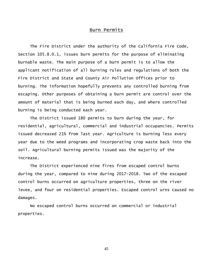#### Burn Permits

The Fire District under the authority of the California Fire Code, Section 105.8.0.1, issues burn permits for the purpose of eliminating burnable waste. The main purpose of a burn permit is to allow the applicant notification of all burning rules and regulations of both the Fire District and State and County Air Pollution Offices prior to burning. The information hopefully prevents any controlled burning from escaping. Other purposes of obtaining a burn permit are control over the amount of material that is being burned each day, and where controlled burning is being conducted each year.

The District issued 180 permits to burn during the year, for residential, agricultural, commercial and industrial occupancies. Permits issued decreased 21% from last year. Agriculture is burning less every year due to the weed programs and incorporating crop waste back into the soil. Agricultural burning permits issued was the majority of the increase.

The District experienced nine fires from escaped control burns during the year, compared to nine during 2017-2018. Two of the escaped control burns occurred on agriculture properties, three on the river levee, and four on residential properties. Escaped control urns caused no damages.

No escaped control burns occurred on commercial or industrial properties.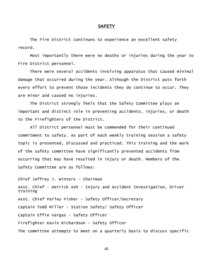#### **SAFETY**

 The Fire District continues to experience an excellent safety record.

Most importantly there were no deaths or injuries during the year to Fire District personnel.

There were several accidents involving apparatus that caused minimal damage that occurred during the year. Although the District puts forth every effort to prevent those incidents they do continue to occur. They are minor and caused no injuries.

The District strongly feels that the Safety Committee plays an important and distinct role in preventing accidents, injuries, or death to the Firefighters of the District.

All District personnel must be commended for their continued commitment to safety. As part of each weekly training session a safety topic is presented, discussed and practiced. This training and the work of the safety committee have significantly prevented accidents from occurring that may have resulted in injury or death. Members of the Safety Committee are as follows:

Chief Jeffrey J. Winters – Chairman Asst. Chief - Derrick Ash – Injury and Accident Investigation, Driver training Asst. Chief Parley Fisher – Safety Officer/Secretary Captain Todd Miller – Station Safety/ Safety Officer Captain Effie Vargas – Safety Officer Firefighter Kevin Richardson – Safety Officer The committee attempts to meet on a quarterly basis to discuss specific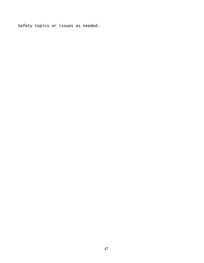Safety topics or issues as needed.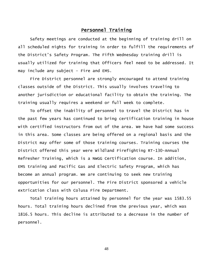#### Personnel Training

Safety meetings are conducted at the beginning of training drill on all scheduled nights for training in order to fulfill the requirements of the District's Safety Program. The Fifth Wednesday training drill is usually utilized for training that Officers feel need to be addressed. It may include any subject – Fire and EMS.

Fire District personnel are strongly encouraged to attend training classes outside of the District. This usually involves traveling to another jurisdiction or educational facility to obtain the training. The training usually requires a weekend or full week to complete.

To offset the inability of personnel to travel the District has in the past few years has continued to bring certification training in house with certified instructors from out of the area. We have had some success in this area. Some classes are being offered on a regional basis and the District may offer some of those training courses. Training courses the District offered this year were Wildland Firefighting RT-130-Annual Refresher Training, which is a NWGG Certification course. In addition, EMS training and Pacific Gas and Electric Safety Program, which has become an annual program. We are continuing to seek new training opportunities for our personnel. The Fire District sponsored a vehicle extrication class with Colusa Fire Department.

Total training hours attained by personnel for the year was 1583.55 hours. Total training hours declined from the previous year, which was 1816.5 hours. This decline is attributed to a decrease in the number of personnel.